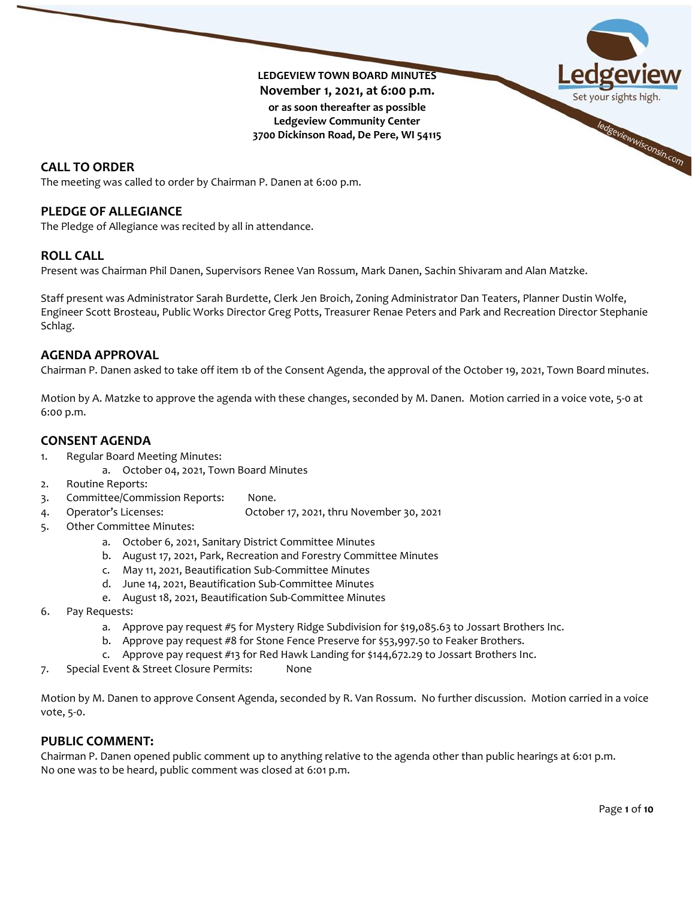**LEDGEVIEW TOWN BOARD MINUTES November 1, 2021, at 6:00 p.m. or as soon thereafter as possible Ledgeview Community Center 3700 Dickinson Road, De Pere, WI 54115**



The meeting was called to order by Chairman P. Danen at 6:00 p.m.

# **PLEDGE OF ALLEGIANCE**

The Pledge of Allegiance was recited by all in attendance.

# **ROLL CALL**

Present was Chairman Phil Danen, Supervisors Renee Van Rossum, Mark Danen, Sachin Shivaram and Alan Matzke.

Staff present was Administrator Sarah Burdette, Clerk Jen Broich, Zoning Administrator Dan Teaters, Planner Dustin Wolfe, Engineer Scott Brosteau, Public Works Director Greg Potts, Treasurer Renae Peters and Park and Recreation Director Stephanie Schlag.

# **AGENDA APPROVAL**

Chairman P. Danen asked to take off item 1b of the Consent Agenda, the approval of the October 19, 2021, Town Board minutes.

Motion by A. Matzke to approve the agenda with these changes, seconded by M. Danen. Motion carried in a voice vote, 5-0 at 6:00 p.m.

# **CONSENT AGENDA**

- 1. Regular Board Meeting Minutes:
	- a. October 04, 2021, Town Board Minutes
- 2. Routine Reports:
- 3. Committee/Commission Reports: None.
- 4. Operator's Licenses: October 17, 2021, thru November 30, 2021
- 5. Other Committee Minutes:
	- a. October 6, 2021, Sanitary District Committee Minutes
	- b. August 17, 2021, Park, Recreation and Forestry Committee Minutes
	- c. May 11, 2021, Beautification Sub-Committee Minutes
	- d. June 14, 2021, Beautification Sub-Committee Minutes
	- e. August 18, 2021, Beautification Sub-Committee Minutes
- 6. Pay Requests:
	- a. Approve pay request #5 for Mystery Ridge Subdivision for \$19,085.63 to Jossart Brothers Inc.
	- b. Approve pay request #8 for Stone Fence Preserve for \$53,997.50 to Feaker Brothers.
	- c. Approve pay request #13 for Red Hawk Landing for \$144,672.29 to Jossart Brothers Inc.
- 7. Special Event & Street Closure Permits: None

Motion by M. Danen to approve Consent Agenda, seconded by R. Van Rossum. No further discussion. Motion carried in a voice vote, 5-0.

# **PUBLIC COMMENT:**

Chairman P. Danen opened public comment up to anything relative to the agenda other than public hearings at 6:01 p.m. No one was to be heard, public comment was closed at 6:01 p.m.

ledgeviewwisconsin.com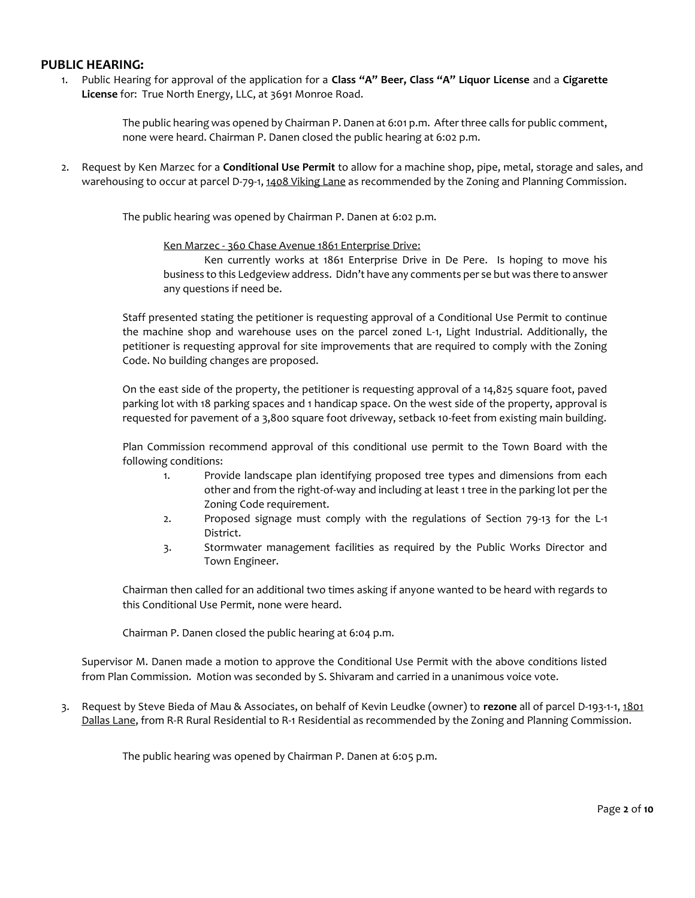# **PUBLIC HEARING:**

1. Public Hearing for approval of the application for a **Class "A" Beer, Class "A" Liquor License** and a **Cigarette License** for: True North Energy, LLC, at 3691 Monroe Road.

> The public hearing was opened by Chairman P. Danen at 6:01 p.m. After three calls for public comment, none were heard. Chairman P. Danen closed the public hearing at 6:02 p.m.

2. Request by Ken Marzec for a **Conditional Use Permit** to allow for a machine shop, pipe, metal, storage and sales, and warehousing to occur at parcel D-79-1, 1408 Viking Lane as recommended by the Zoning and Planning Commission.

The public hearing was opened by Chairman P. Danen at 6:02 p.m.

#### Ken Marzec - 360 Chase Avenue 1861 Enterprise Drive:

Ken currently works at 1861 Enterprise Drive in De Pere. Is hoping to move his business to this Ledgeview address. Didn't have any comments per se but was there to answer any questions if need be.

Staff presented stating the petitioner is requesting approval of a Conditional Use Permit to continue the machine shop and warehouse uses on the parcel zoned L-1, Light Industrial. Additionally, the petitioner is requesting approval for site improvements that are required to comply with the Zoning Code. No building changes are proposed.

On the east side of the property, the petitioner is requesting approval of a 14,825 square foot, paved parking lot with 18 parking spaces and 1 handicap space. On the west side of the property, approval is requested for pavement of a 3,800 square foot driveway, setback 10-feet from existing main building.

Plan Commission recommend approval of this conditional use permit to the Town Board with the following conditions:

- 1. Provide landscape plan identifying proposed tree types and dimensions from each other and from the right-of-way and including at least 1 tree in the parking lot per the Zoning Code requirement.
- 2. Proposed signage must comply with the regulations of Section 79-13 for the L-1 District.
- 3. Stormwater management facilities as required by the Public Works Director and Town Engineer.

Chairman then called for an additional two times asking if anyone wanted to be heard with regards to this Conditional Use Permit, none were heard.

Chairman P. Danen closed the public hearing at 6:04 p.m.

Supervisor M. Danen made a motion to approve the Conditional Use Permit with the above conditions listed from Plan Commission. Motion was seconded by S. Shivaram and carried in a unanimous voice vote.

3. Request by Steve Bieda of Mau & Associates, on behalf of Kevin Leudke (owner) to **rezone** all of parcel D-193-1-1, 1801 Dallas Lane, from R-R Rural Residential to R-1 Residential as recommended by the Zoning and Planning Commission.

The public hearing was opened by Chairman P. Danen at 6:05 p.m.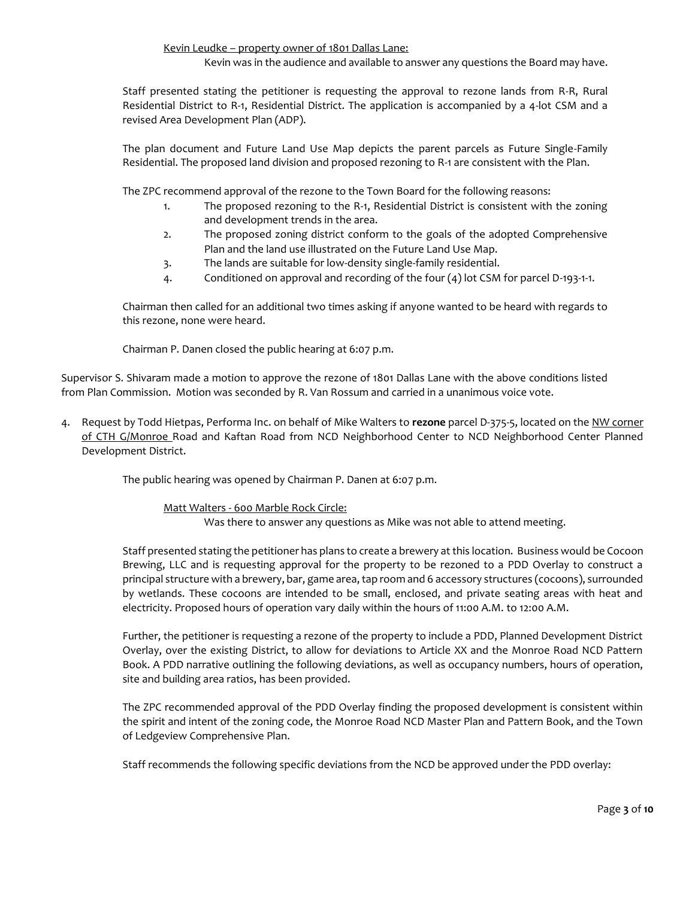Kevin Leudke – property owner of 1801 Dallas Lane:

Kevin was in the audience and available to answer any questions the Board may have.

Staff presented stating the petitioner is requesting the approval to rezone lands from R-R, Rural Residential District to R-1, Residential District. The application is accompanied by a 4-lot CSM and a revised Area Development Plan (ADP).

The plan document and Future Land Use Map depicts the parent parcels as Future Single-Family Residential. The proposed land division and proposed rezoning to R-1 are consistent with the Plan.

The ZPC recommend approval of the rezone to the Town Board for the following reasons:

- 1. The proposed rezoning to the R-1, Residential District is consistent with the zoning and development trends in the area.
- 2. The proposed zoning district conform to the goals of the adopted Comprehensive Plan and the land use illustrated on the Future Land Use Map.
- 3. The lands are suitable for low-density single-family residential.
- 4. Conditioned on approval and recording of the four (4) lot CSM for parcel D-193-1-1.

Chairman then called for an additional two times asking if anyone wanted to be heard with regards to this rezone, none were heard.

Chairman P. Danen closed the public hearing at 6:07 p.m.

Supervisor S. Shivaram made a motion to approve the rezone of 1801 Dallas Lane with the above conditions listed from Plan Commission. Motion was seconded by R. Van Rossum and carried in a unanimous voice vote.

4. Request by Todd Hietpas, Performa Inc. on behalf of Mike Walters to **rezone** parcel D-375-5, located on the NW corner of CTH G/Monroe Road and Kaftan Road from NCD Neighborhood Center to NCD Neighborhood Center Planned Development District.

The public hearing was opened by Chairman P. Danen at 6:07 p.m.

Matt Walters - 600 Marble Rock Circle:

Was there to answer any questions as Mike was not able to attend meeting.

Staff presented stating the petitioner has plans to create a brewery at this location. Business would be Cocoon Brewing, LLC and is requesting approval for the property to be rezoned to a PDD Overlay to construct a principal structure with a brewery, bar, game area, tap room and 6 accessory structures (cocoons), surrounded by wetlands. These cocoons are intended to be small, enclosed, and private seating areas with heat and electricity. Proposed hours of operation vary daily within the hours of 11:00 A.M. to 12:00 A.M.

Further, the petitioner is requesting a rezone of the property to include a PDD, Planned Development District Overlay, over the existing District, to allow for deviations to Article XX and the Monroe Road NCD Pattern Book. A PDD narrative outlining the following deviations, as well as occupancy numbers, hours of operation, site and building area ratios, has been provided.

The ZPC recommended approval of the PDD Overlay finding the proposed development is consistent within the spirit and intent of the zoning code, the Monroe Road NCD Master Plan and Pattern Book, and the Town of Ledgeview Comprehensive Plan.

Staff recommends the following specific deviations from the NCD be approved under the PDD overlay: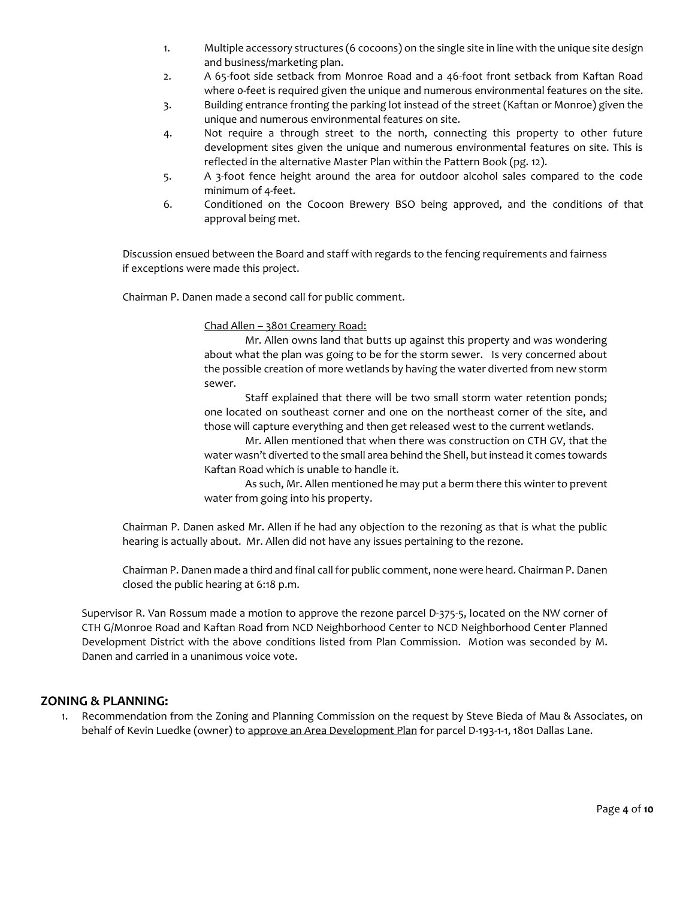- 1. Multiple accessory structures (6 cocoons) on the single site in line with the unique site design and business/marketing plan.
- 2. A 65-foot side setback from Monroe Road and a 46-foot front setback from Kaftan Road where 0-feet is required given the unique and numerous environmental features on the site.
- 3. Building entrance fronting the parking lot instead of the street (Kaftan or Monroe) given the unique and numerous environmental features on site.
- 4. Not require a through street to the north, connecting this property to other future development sites given the unique and numerous environmental features on site. This is reflected in the alternative Master Plan within the Pattern Book (pg. 12).
- 5. A 3-foot fence height around the area for outdoor alcohol sales compared to the code minimum of 4-feet.
- 6. Conditioned on the Cocoon Brewery BSO being approved, and the conditions of that approval being met.

Discussion ensued between the Board and staff with regards to the fencing requirements and fairness if exceptions were made this project.

Chairman P. Danen made a second call for public comment.

Chad Allen – 3801 Creamery Road:

Mr. Allen owns land that butts up against this property and was wondering about what the plan was going to be for the storm sewer. Is very concerned about the possible creation of more wetlands by having the water diverted from new storm sewer.

Staff explained that there will be two small storm water retention ponds; one located on southeast corner and one on the northeast corner of the site, and those will capture everything and then get released west to the current wetlands.

Mr. Allen mentioned that when there was construction on CTH GV, that the water wasn't diverted to the small area behind the Shell, but instead it comes towards Kaftan Road which is unable to handle it.

As such, Mr. Allen mentioned he may put a berm there this winter to prevent water from going into his property.

Chairman P. Danen asked Mr. Allen if he had any objection to the rezoning as that is what the public hearing is actually about. Mr. Allen did not have any issues pertaining to the rezone.

Chairman P. Danen made a third and final call for public comment, none were heard. Chairman P. Danen closed the public hearing at 6:18 p.m.

Supervisor R. Van Rossum made a motion to approve the rezone parcel D-375-5, located on the NW corner of CTH G/Monroe Road and Kaftan Road from NCD Neighborhood Center to NCD Neighborhood Center Planned Development District with the above conditions listed from Plan Commission. Motion was seconded by M. Danen and carried in a unanimous voice vote.

# **ZONING & PLANNING:**

1. Recommendation from the Zoning and Planning Commission on the request by Steve Bieda of Mau & Associates, on behalf of Kevin Luedke (owner) to approve an Area Development Plan for parcel D-193-1-1, 1801 Dallas Lane.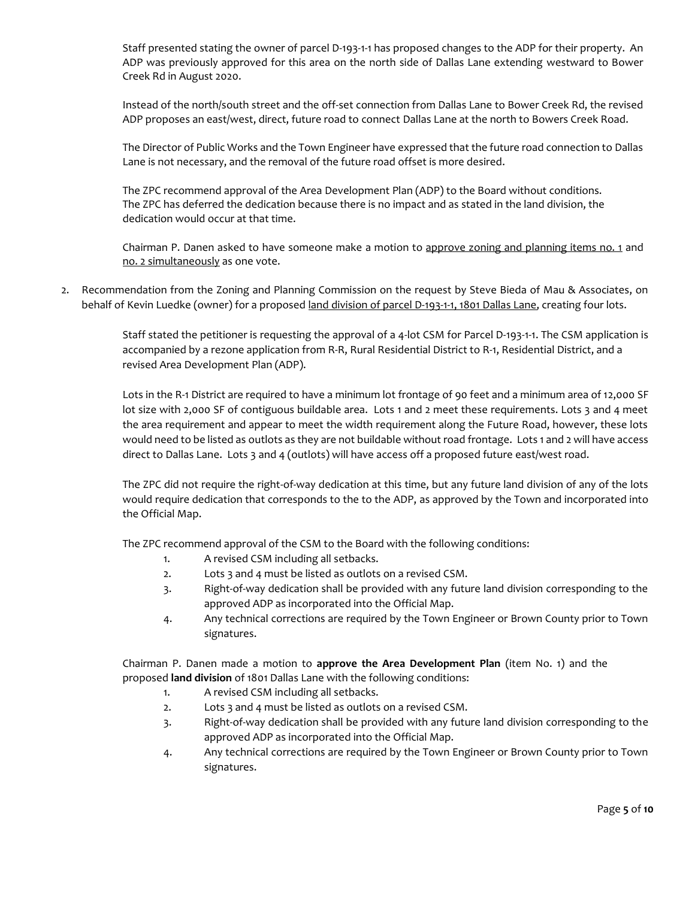Staff presented stating the owner of parcel D-193-1-1 has proposed changes to the ADP for their property. An ADP was previously approved for this area on the north side of Dallas Lane extending westward to Bower Creek Rd in August 2020.

Instead of the north/south street and the off-set connection from Dallas Lane to Bower Creek Rd, the revised ADP proposes an east/west, direct, future road to connect Dallas Lane at the north to Bowers Creek Road.

The Director of Public Works and the Town Engineer have expressed that the future road connection to Dallas Lane is not necessary, and the removal of the future road offset is more desired.

The ZPC recommend approval of the Area Development Plan (ADP) to the Board without conditions. The ZPC has deferred the dedication because there is no impact and as stated in the land division, the dedication would occur at that time.

Chairman P. Danen asked to have someone make a motion to approve zoning and planning items no. 1 and no. 2 simultaneously as one vote.

2. Recommendation from the Zoning and Planning Commission on the request by Steve Bieda of Mau & Associates, on behalf of Kevin Luedke (owner) for a proposed land division of parcel D-193-1-1, 1801 Dallas Lane, creating four lots.

> Staff stated the petitioner is requesting the approval of a 4-lot CSM for Parcel D-193-1-1. The CSM application is accompanied by a rezone application from R-R, Rural Residential District to R-1, Residential District, and a revised Area Development Plan (ADP).

> Lots in the R-1 District are required to have a minimum lot frontage of 90 feet and a minimum area of 12,000 SF lot size with 2,000 SF of contiguous buildable area. Lots 1 and 2 meet these requirements. Lots 3 and 4 meet the area requirement and appear to meet the width requirement along the Future Road, however, these lots would need to be listed as outlots as they are not buildable without road frontage. Lots 1 and 2 will have access direct to Dallas Lane. Lots 3 and 4 (outlots) will have access off a proposed future east/west road.

> The ZPC did not require the right-of-way dedication at this time, but any future land division of any of the lots would require dedication that corresponds to the to the ADP, as approved by the Town and incorporated into the Official Map.

The ZPC recommend approval of the CSM to the Board with the following conditions:

- 1. A revised CSM including all setbacks.
- 2. Lots 3 and 4 must be listed as outlots on a revised CSM.
- 3. Right-of-way dedication shall be provided with any future land division corresponding to the approved ADP as incorporated into the Official Map.
- 4. Any technical corrections are required by the Town Engineer or Brown County prior to Town signatures.

Chairman P. Danen made a motion to **approve the Area Development Plan** (item No. 1) and the proposed **land division** of 1801 Dallas Lane with the following conditions:

- 1. A revised CSM including all setbacks.
- 2. Lots 3 and 4 must be listed as outlots on a revised CSM.
- 3. Right-of-way dedication shall be provided with any future land division corresponding to the approved ADP as incorporated into the Official Map.
- 4. Any technical corrections are required by the Town Engineer or Brown County prior to Town signatures.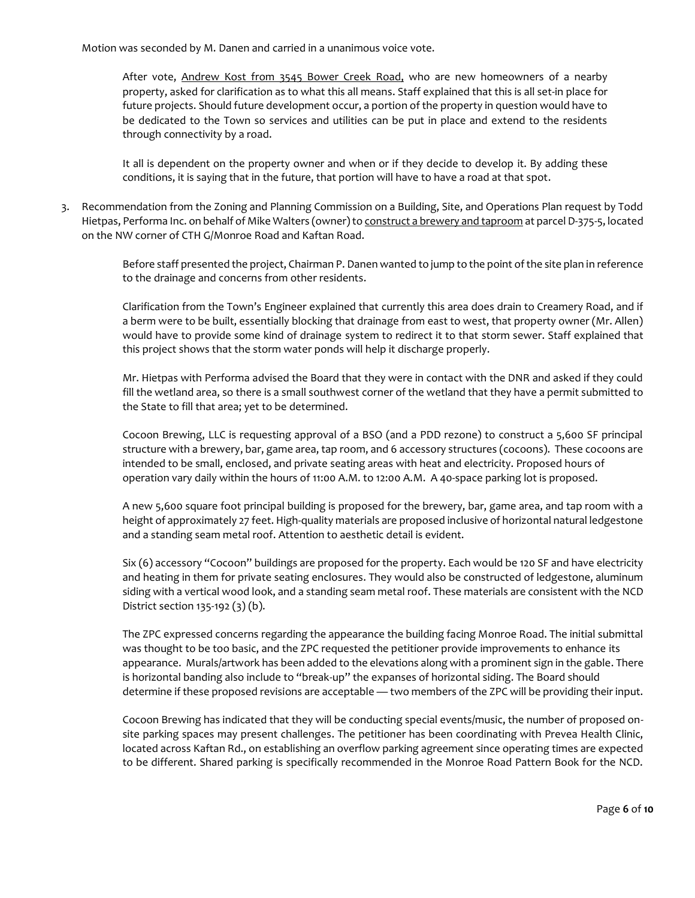Motion was seconded by M. Danen and carried in a unanimous voice vote.

After vote, Andrew Kost from 3545 Bower Creek Road, who are new homeowners of a nearby property, asked for clarification as to what this all means. Staff explained that this is all set-in place for future projects. Should future development occur, a portion of the property in question would have to be dedicated to the Town so services and utilities can be put in place and extend to the residents through connectivity by a road.

It all is dependent on the property owner and when or if they decide to develop it. By adding these conditions, it is saying that in the future, that portion will have to have a road at that spot.

3. Recommendation from the Zoning and Planning Commission on a Building, Site, and Operations Plan request by Todd Hietpas, Performa Inc. on behalf of Mike Walters (owner) to construct a brewery and taproom at parcel D-375-5, located on the NW corner of CTH G/Monroe Road and Kaftan Road.

> Before staff presented the project, Chairman P. Danen wanted to jump to the point of the site plan in reference to the drainage and concerns from other residents.

> Clarification from the Town's Engineer explained that currently this area does drain to Creamery Road, and if a berm were to be built, essentially blocking that drainage from east to west, that property owner (Mr. Allen) would have to provide some kind of drainage system to redirect it to that storm sewer. Staff explained that this project shows that the storm water ponds will help it discharge properly.

> Mr. Hietpas with Performa advised the Board that they were in contact with the DNR and asked if they could fill the wetland area, so there is a small southwest corner of the wetland that they have a permit submitted to the State to fill that area; yet to be determined.

> Cocoon Brewing, LLC is requesting approval of a BSO (and a PDD rezone) to construct a 5,600 SF principal structure with a brewery, bar, game area, tap room, and 6 accessory structures (cocoons). These cocoons are intended to be small, enclosed, and private seating areas with heat and electricity. Proposed hours of operation vary daily within the hours of 11:00 A.M. to 12:00 A.M. A 40-space parking lot is proposed.

> A new 5,600 square foot principal building is proposed for the brewery, bar, game area, and tap room with a height of approximately 27 feet. High-quality materials are proposed inclusive of horizontal natural ledgestone and a standing seam metal roof. Attention to aesthetic detail is evident.

> Six (6) accessory "Cocoon" buildings are proposed for the property. Each would be 120 SF and have electricity and heating in them for private seating enclosures. They would also be constructed of ledgestone, aluminum siding with a vertical wood look, and a standing seam metal roof. These materials are consistent with the NCD District section 135-192 (3) (b).

> The ZPC expressed concerns regarding the appearance the building facing Monroe Road. The initial submittal was thought to be too basic, and the ZPC requested the petitioner provide improvements to enhance its appearance. Murals/artwork has been added to the elevations along with a prominent sign in the gable. There is horizontal banding also include to "break-up" the expanses of horizontal siding. The Board should determine if these proposed revisions are acceptable — two members of the ZPC will be providing their input.

> Cocoon Brewing has indicated that they will be conducting special events/music, the number of proposed onsite parking spaces may present challenges. The petitioner has been coordinating with Prevea Health Clinic, located across Kaftan Rd., on establishing an overflow parking agreement since operating times are expected to be different. Shared parking is specifically recommended in the Monroe Road Pattern Book for the NCD.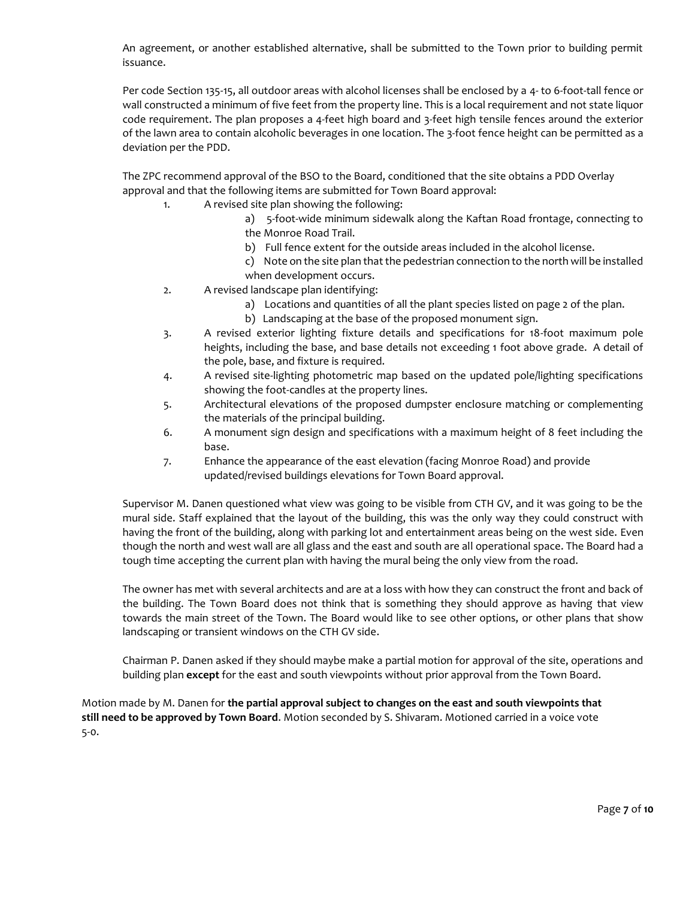An agreement, or another established alternative, shall be submitted to the Town prior to building permit issuance.

Per code Section 135-15, all outdoor areas with alcohol licenses shall be enclosed by a 4- to 6-foot-tall fence or wall constructed a minimum of five feet from the property line. This is a local requirement and not state liquor code requirement. The plan proposes a 4-feet high board and 3-feet high tensile fences around the exterior of the lawn area to contain alcoholic beverages in one location. The 3-foot fence height can be permitted as a deviation per the PDD.

The ZPC recommend approval of the BSO to the Board, conditioned that the site obtains a PDD Overlay approval and that the following items are submitted for Town Board approval:

- 1. A revised site plan showing the following:
	- a) 5-foot-wide minimum sidewalk along the Kaftan Road frontage, connecting to the Monroe Road Trail.
	- b) Full fence extent for the outside areas included in the alcohol license.
	- c) Note on the site plan that the pedestrian connection to the north will be installed when development occurs.
	- 2. A revised landscape plan identifying:
		- a) Locations and quantities of all the plant species listed on page 2 of the plan.
		- b) Landscaping at the base of the proposed monument sign.
	- 3. A revised exterior lighting fixture details and specifications for 18-foot maximum pole heights, including the base, and base details not exceeding 1 foot above grade. A detail of the pole, base, and fixture is required.
	- 4. A revised site-lighting photometric map based on the updated pole/lighting specifications showing the foot-candles at the property lines.
	- 5. Architectural elevations of the proposed dumpster enclosure matching or complementing the materials of the principal building.
	- 6. A monument sign design and specifications with a maximum height of 8 feet including the base.
	- 7. Enhance the appearance of the east elevation (facing Monroe Road) and provide updated/revised buildings elevations for Town Board approval.

Supervisor M. Danen questioned what view was going to be visible from CTH GV, and it was going to be the mural side. Staff explained that the layout of the building, this was the only way they could construct with having the front of the building, along with parking lot and entertainment areas being on the west side. Even though the north and west wall are all glass and the east and south are all operational space. The Board had a tough time accepting the current plan with having the mural being the only view from the road.

The owner has met with several architects and are at a loss with how they can construct the front and back of the building. The Town Board does not think that is something they should approve as having that view towards the main street of the Town. The Board would like to see other options, or other plans that show landscaping or transient windows on the CTH GV side.

Chairman P. Danen asked if they should maybe make a partial motion for approval of the site, operations and building plan **except** for the east and south viewpoints without prior approval from the Town Board.

Motion made by M. Danen for **the partial approval subject to changes on the east and south viewpoints that still need to be approved by Town Board**. Motion seconded by S. Shivaram. Motioned carried in a voice vote 5-0.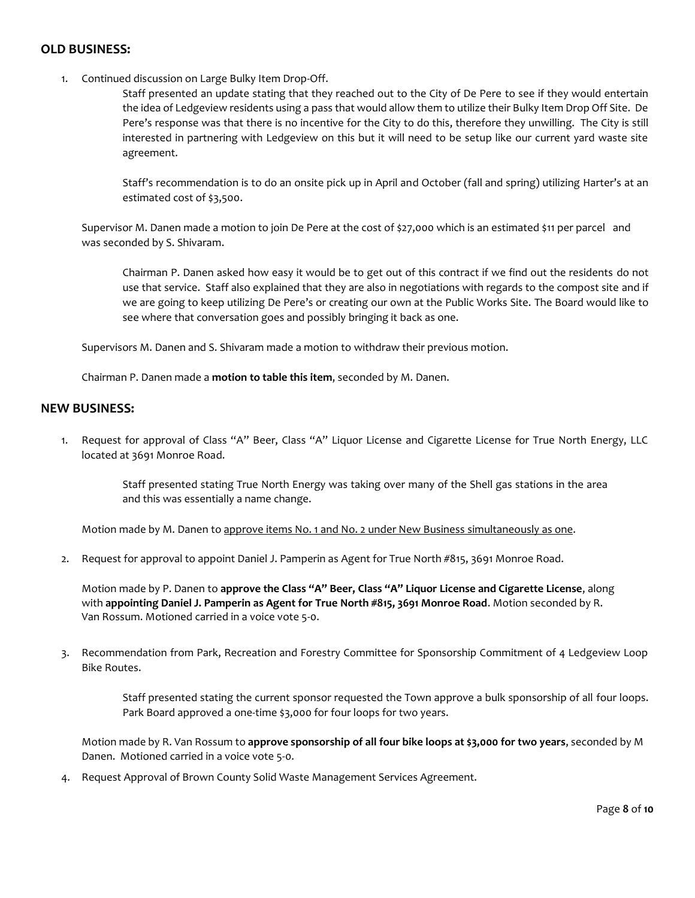# **OLD BUSINESS:**

1. Continued discussion on Large Bulky Item Drop-Off.

Staff presented an update stating that they reached out to the City of De Pere to see if they would entertain the idea of Ledgeview residents using a pass that would allow them to utilize their Bulky Item Drop Off Site. De Pere's response was that there is no incentive for the City to do this, therefore they unwilling. The City is still interested in partnering with Ledgeview on this but it will need to be setup like our current yard waste site agreement.

Staff's recommendation is to do an onsite pick up in April and October (fall and spring) utilizing Harter's at an estimated cost of \$3,500.

Supervisor M. Danen made a motion to join De Pere at the cost of \$27,000 which is an estimated \$11 per parcel and was seconded by S. Shivaram.

Chairman P. Danen asked how easy it would be to get out of this contract if we find out the residents do not use that service. Staff also explained that they are also in negotiations with regards to the compost site and if we are going to keep utilizing De Pere's or creating our own at the Public Works Site. The Board would like to see where that conversation goes and possibly bringing it back as one.

Supervisors M. Danen and S. Shivaram made a motion to withdraw their previous motion.

Chairman P. Danen made a **motion to table this item**, seconded by M. Danen.

### **NEW BUSINESS:**

1. Request for approval of Class "A" Beer, Class "A" Liquor License and Cigarette License for True North Energy, LLC located at 3691 Monroe Road.

> Staff presented stating True North Energy was taking over many of the Shell gas stations in the area and this was essentially a name change.

Motion made by M. Danen to approve items No. 1 and No. 2 under New Business simultaneously as one.

2. Request for approval to appoint Daniel J. Pamperin as Agent for True North #815, 3691 Monroe Road.

Motion made by P. Danen to **approve the Class "A" Beer, Class "A" Liquor License and Cigarette License**, along with **appointing Daniel J. Pamperin as Agent for True North #815, 3691 Monroe Road**. Motion seconded by R. Van Rossum. Motioned carried in a voice vote 5-0.

3. Recommendation from Park, Recreation and Forestry Committee for Sponsorship Commitment of 4 Ledgeview Loop Bike Routes.

> Staff presented stating the current sponsor requested the Town approve a bulk sponsorship of all four loops. Park Board approved a one-time \$3,000 for four loops for two years.

Motion made by R. Van Rossum to **approve sponsorship of all four bike loops at \$3,000 for two years**, seconded by M Danen. Motioned carried in a voice vote 5-0.

4. Request Approval of Brown County Solid Waste Management Services Agreement.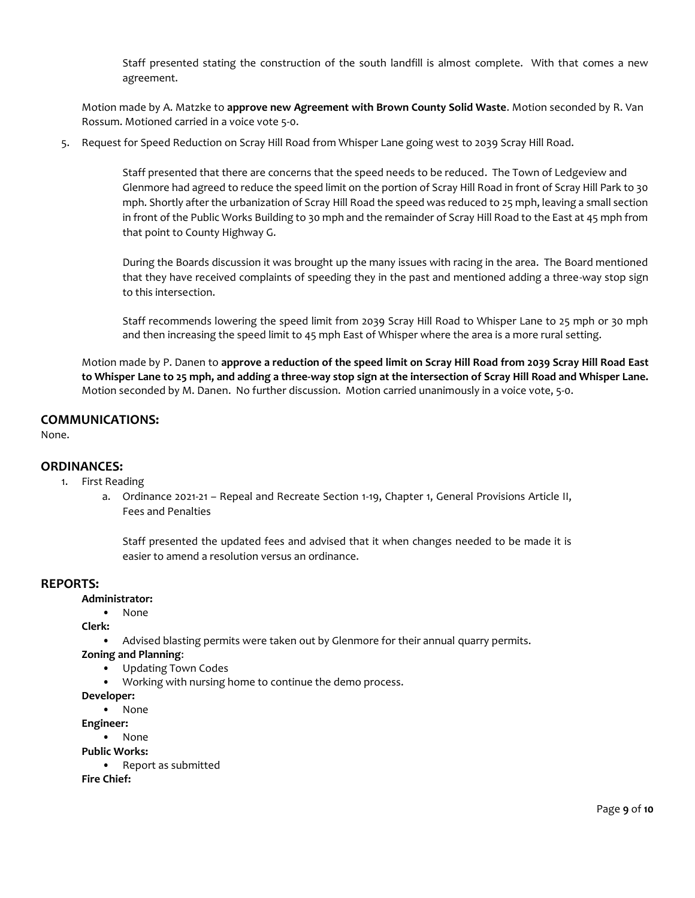Staff presented stating the construction of the south landfill is almost complete. With that comes a new agreement.

Motion made by A. Matzke to **approve new Agreement with Brown County Solid Waste**. Motion seconded by R. Van Rossum. Motioned carried in a voice vote 5-0.

5. Request for Speed Reduction on Scray Hill Road from Whisper Lane going west to 2039 Scray Hill Road.

Staff presented that there are concerns that the speed needs to be reduced. The Town of Ledgeview and Glenmore had agreed to reduce the speed limit on the portion of Scray Hill Road in front of Scray Hill Park to 30 mph. Shortly after the urbanization of Scray Hill Road the speed was reduced to 25 mph, leaving a small section in front of the Public Works Building to 30 mph and the remainder of Scray Hill Road to the East at 45 mph from that point to County Highway G.

During the Boards discussion it was brought up the many issues with racing in the area. The Board mentioned that they have received complaints of speeding they in the past and mentioned adding a three-way stop sign to this intersection.

Staff recommends lowering the speed limit from 2039 Scray Hill Road to Whisper Lane to 25 mph or 30 mph and then increasing the speed limit to 45 mph East of Whisper where the area is a more rural setting.

Motion made by P. Danen to **approve a reduction of the speed limit on Scray Hill Road from 2039 Scray Hill Road East to Whisper Lane to 25 mph, and adding a three-way stop sign at the intersection of Scray Hill Road and Whisper Lane.** Motion seconded by M. Danen. No further discussion. Motion carried unanimously in a voice vote, 5-0.

# **COMMUNICATIONS:**

None.

### **ORDINANCES:**

- 1. First Reading
	- a. Ordinance 2021-21 Repeal and Recreate Section 1-19, Chapter 1, General Provisions Article II, Fees and Penalties

Staff presented the updated fees and advised that it when changes needed to be made it is easier to amend a resolution versus an ordinance.

### **REPORTS:**

**Administrator:**

• None

**Clerk:**

- Advised blasting permits were taken out by Glenmore for their annual quarry permits.
- **Zoning and Planning**:
	- Updating Town Codes
	- Working with nursing home to continue the demo process.

#### **Developer:**

• None

- **Engineer:**
	- None

**Public Works:**

```
• Report as submitted
```
**Fire Chief:**